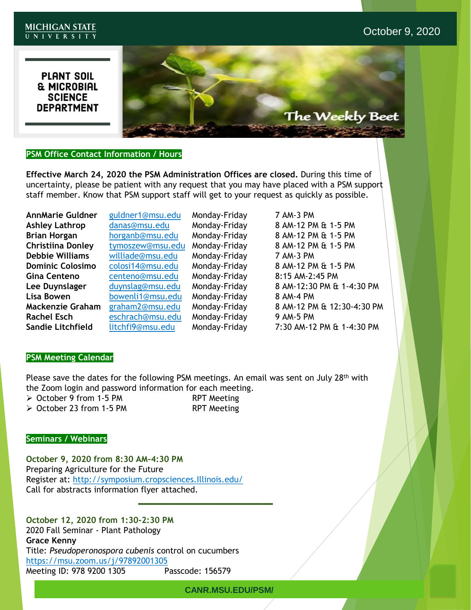#### **MICHIGAN STATE** UNIVERSITY

# **PLANT SOIL THE MICROBIAL<br>SCIENCE<br>DEPARTMENT**



# **PSM Office Contact Information / Hours**

**Effective March 24, 2020 the PSM Administration Offices are closed.** During this time of uncertainty, please be patient with any request that you may have placed with a PSM support staff member. Know that PSM support staff will get to your request as quickly as possible.

**AnnMarie Guldner** guldner1@msu.edu Monday-Friday 7 AM-3 PM **Debbie Williams** williade@msu.edu Monday-Friday 7 AM-3 PM **Gina Centeno** centeno@msu.edu Monday-Friday 8:15 AM-2:45 PM Lisa Bowen **bowenli1@msu.edu** Monday-Friday 8 AM-4 PM **Rachel Esch** eschrach@msu.edu Monday-Friday 9 AM-5 PM

**Ashley Lathrop** danas@msu.edu Monday-Friday 8 AM-12 PM & 1-5 PM **Brian Horgan** horganb@msu.edu Monday-Friday 8 AM-12 PM & 1-5 PM **Christiina Donley** tymoszew@msu.edu Monday-Friday 8 AM-12 PM & 1-5 PM **Dominic Colosimo** colosi14@msu.edu Monday-Friday 8 AM-12 PM & 1-5 PM **Lee Duynslager** duynslag@msu.edu Monday-Friday 8 AM-12:30 PM & 1-4:30 PM **Mackenzie Graham** graham2@msu.edu Monday-Friday 8 AM-12 PM & 12:30-4:30 PM **Sandie Litchfield** litchfi9@msu.edu Monday-Friday 7:30 AM-12 PM & 1-4:30 PM

## **PSM Meeting Calendar**

Please save the dates for the following PSM meetings. An email was sent on July 28<sup>th</sup> with the Zoom login and password information for each meeting.

- ➢ October 9 from 1-5 PM RPT Meeting
- ➢ October 23 from 1-5 PM RPT Meeting

**\_\_\_\_\_\_\_\_\_\_\_\_\_\_\_\_\_\_\_\_\_\_\_\_\_\_\_**

### **Seminars / Webinars**

**October 9, 2020 from 8:30 AM-4:30 PM** Preparing Agriculture for the Future Register at: [http://symposium.cropsciences.Illinois.edu/](http://symposium.cropsciences.illinois.edu/) Call for abstracts information flyer attached.

**October 12, 2020 from 1:30-2:30 PM** 2020 Fall Seminar - Plant Pathology **Grace Kenny** Title: *Pseudoperonospora cubenis* control on cucumbers <https://msu.zoom.us/j/97892001305> Meeting ID: 978 9200 1305 Passcode: 156579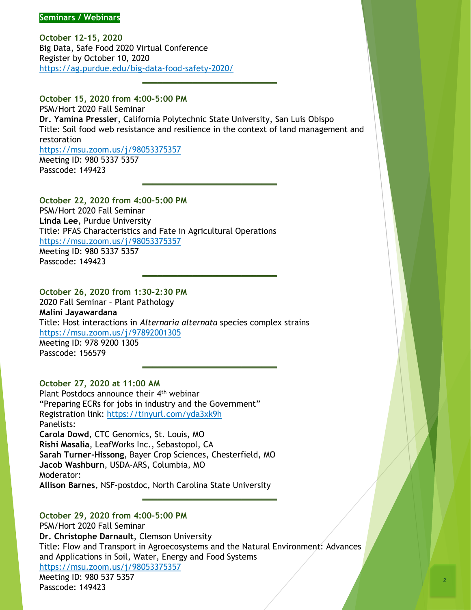**October 12-15, 2020** Big Data, Safe Food 2020 Virtual Conference Register by October 10, 2020 <https://ag.purdue.edu/big-data-food-safety-2020/>

**October 15, 2020 from 4:00-5:00 PM** PSM/Hort 2020 Fall Seminar **Dr. Yamina Pressler**, California Polytechnic State University, San Luis Obispo Title: Soil food web resistance and resilience in the context of land management and restoration <https://msu.zoom.us/j/98053375357> Meeting ID: 980 5337 5357

**\_\_\_\_\_\_\_\_\_\_\_\_\_\_\_\_\_\_\_\_\_\_\_\_\_\_\_**

**\_\_\_\_\_\_\_\_\_\_\_\_\_\_\_\_\_\_\_\_\_\_\_\_\_\_\_**

**\_\_\_\_\_\_\_\_\_\_\_\_\_\_\_\_\_\_\_\_\_\_\_\_\_\_\_**

**\_\_\_\_\_\_\_\_\_\_\_\_\_\_\_\_\_\_\_\_\_\_\_\_\_\_\_**

Passcode: 149423

**October 22, 2020 from 4:00-5:00 PM** PSM/Hort 2020 Fall Seminar **Linda Lee**, Purdue University Title: PFAS Characteristics and Fate in Agricultural Operations <https://msu.zoom.us/j/98053375357> Meeting ID: 980 5337 5357 Passcode: 149423

# **October 26, 2020 from 1:30-2:30 PM**

2020 Fall Seminar – Plant Pathology **Malini Jayawardana** Title: Host interactions in *Alternaria alternata* species complex strains <https://msu.zoom.us/j/97892001305>

Meeting ID: 978 9200 1305 Passcode: 156579

### **October 27, 2020 at 11:00 AM**

Plant Postdocs announce their 4<sup>th</sup> webinar "Preparing ECRs for jobs in industry and the Government" Registration link:<https://tinyurl.com/yda3xk9h> Panelists: **Carola Dowd**, CTC Genomics, St. Louis, MO **Rishi Masalia**, LeafWorks Inc., Sebastopol, CA **Sarah Turner-Hissong**, Bayer Crop Sciences, Chesterfield, MO **Jacob Washburn**, USDA-ARS, Columbia, MO Moderator: **Allison Barnes**, NSF-postdoc, North Carolina State University

**October 29, 2020 from 4:00-5:00 PM** PSM/Hort 2020 Fall Seminar **Dr. Christophe Darnault**, Clemson University Title: Flow and Transport in Agroecosystems and the Natural Environment: Advances and Applications in Soil, Water, Energy and Food Systems <https://msu.zoom.us/j/98053375357> Meeting ID: 980 537 5357 Passcode: 149423

**\_\_\_\_\_\_\_\_\_\_\_\_\_\_\_\_\_\_\_\_\_\_\_\_\_\_\_**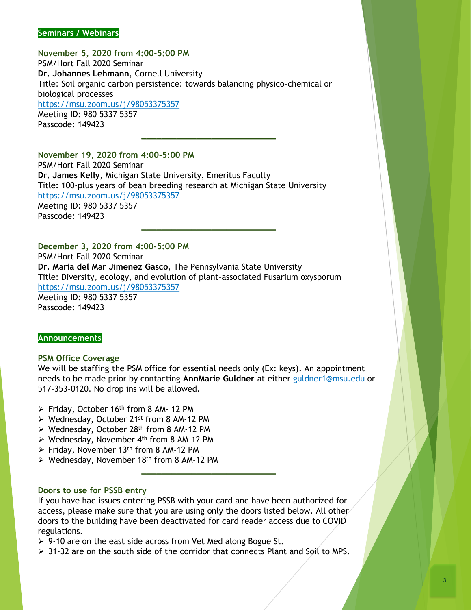#### **Seminars / Webinars**

**November 5, 2020 from 4:00-5:00 PM** PSM/Hort Fall 2020 Seminar **Dr. Johannes Lehmann**, Cornell University Title: Soil organic carbon persistence: towards balancing physico-chemical or biological processes <https://msu.zoom.us/j/98053375357> Meeting ID: 980 5337 5357 Passcode: 149423

**\_\_\_\_\_\_\_\_\_\_\_\_\_\_\_\_\_\_\_\_\_\_\_\_\_\_\_**

**\_\_\_\_\_\_\_\_\_\_\_\_\_\_\_\_\_\_\_\_\_\_\_\_\_\_\_**

**November 19, 2020 from 4:00-5:00 PM** PSM/Hort Fall 2020 Seminar **Dr. James Kelly**, Michigan State University, Emeritus Faculty Title: 100-plus years of bean breeding research at Michigan State University <https://msu.zoom.us/j/98053375357> Meeting ID: 980 5337 5357 Passcode: 149423

**December 3, 2020 from 4:00-5:00 PM** PSM/Hort Fall 2020 Seminar **Dr. Maria del Mar Jimenez Gasco**, The Pennsylvania State University Title: Diversity, ecology, and evolution of plant-associated Fusarium oxysporum <https://msu.zoom.us/j/98053375357> Meeting ID: 980 5337 5357 Passcode: 149423

#### **Announcements**

#### **PSM Office Coverage**

We will be staffing the PSM office for essential needs only (Ex: keys). An appointment needs to be made prior by contacting **AnnMarie Guldner** at either [guldner1@msu.edu](mailto:guldner1@msu.edu) or 517-353-0120. No drop ins will be allowed.

**\_\_\_\_\_\_\_\_\_\_\_\_\_\_\_\_\_\_\_\_\_\_\_\_\_\_\_**

- $\triangleright$  Friday, October 16<sup>th</sup> from 8 AM- 12 PM
- ➢ Wednesday, October 21st from 8 AM-12 PM
- ➢ Wednesday, October 28th from 8 AM-12 PM
- $\triangleright$  Wednesday, November 4<sup>th</sup> from 8 AM-12 PM
- $\triangleright$  Friday, November 13<sup>th</sup> from 8 AM-12 PM
- $\triangleright$  Wednesday, November 18<sup>th</sup> from 8 AM-12 PM

#### **Doors to use for PSSB entry**

If you have had issues entering PSSB with your card and have been authorized for access, please make sure that you are using only the doors listed below. All other doors to the building have been deactivated for card reader access due to COVID regulations.

➢ 9-10 are on the east side across from Vet Med along Bogue St.

 $\geq$  31-32 are on the south side of the corridor that connects Plant and Soil to MPS.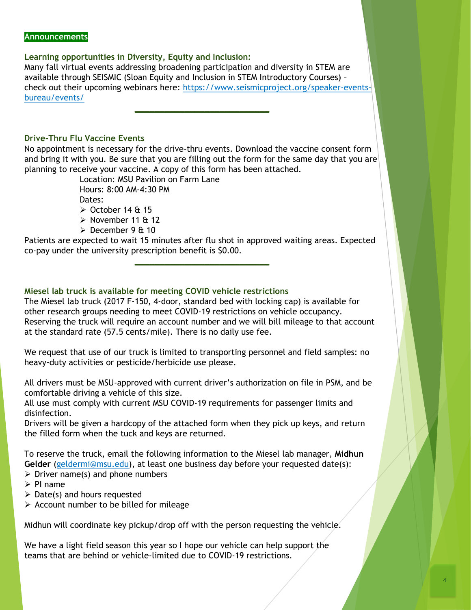#### **Announcements**

### **Learning opportunities in Diversity, Equity and Inclusion:**

Many fall virtual events addressing broadening participation and diversity in STEM are available through SEISMIC (Sloan Equity and Inclusion in STEM Introductory Courses) – [check out their upcoming webinars here: https://www.seismicproject.org/speaker-events](https://www.seismicproject.org/speaker-events-bureau/events/)bureau/events/

**\_\_\_\_\_\_\_\_\_\_\_\_\_\_\_\_\_\_\_\_\_\_\_\_\_\_\_**

### **Drive-Thru Flu Vaccine Events**

No appointment is necessary for the drive-thru events. Download the vaccine consent form and bring it with you. Be sure that you are filling out the form for the same day that you are planning to receive your vaccine. A copy of this form has been attached.

Location: MSU Pavilion on Farm Lane Hours: 8:00 AM-4:30 PM Dates:  $\geq$  October 14 & 15

- $\triangleright$  November 11 & 12
- $\geq$  December 9 & 10

Patients are expected to wait 15 minutes after flu shot in approved waiting areas. Expected co-pay under the university prescription benefit is \$0.00.

**\_\_\_\_\_\_\_\_\_\_\_\_\_\_\_\_\_\_\_\_\_\_\_\_\_\_\_**

### **Miesel lab truck is available for meeting COVID vehicle restrictions**

The Miesel lab truck (2017 F-150, 4-door, standard bed with locking cap) is available for other research groups needing to meet COVID-19 restrictions on vehicle occupancy. Reserving the truck will require an account number and we will bill mileage to that account at the standard rate (57.5 cents/mile). There is no daily use fee.

We request that use of our truck is limited to transporting personnel and field samples: no heavy-duty activities or pesticide/herbicide use please.

All drivers must be MSU-approved with current driver's authorization on file in PSM, and be comfortable driving a vehicle of this size.

All use must comply with current MSU COVID-19 requirements for passenger limits and disinfection.

Drivers will be given a hardcopy of the attached form when they pick up keys, and return the filled form when the tuck and keys are returned.

To reserve the truck, email the following information to the Miesel lab manager, **Midhun Gelder** ([geldermi@msu.edu\)](mailto:geldermi@msu.edu), at least one business day before your requested date(s):

- $\triangleright$  Driver name(s) and phone numbers
- ➢ PI name
- $\triangleright$  Date(s) and hours requested
- $\triangleright$  Account number to be billed for mileage

Midhun will coordinate key pickup/drop off with the person requesting the vehicle.

We have a light field season this year so I hope our vehicle can help support the teams that are behind or vehicle-limited due to COVID-19 restrictions.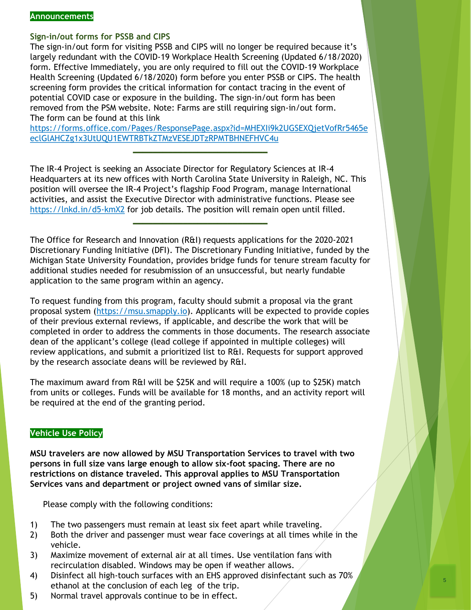#### **Announcements**

## **Sign-in/out forms for PSSB and CIPS**

The sign-in/out form for visiting PSSB and CIPS will no longer be required because it's largely redundant with the COVID-19 Workplace Health Screening (Updated 6/18/2020) form. Effective Immediately, you are only required to fill out the COVID-19 Workplace Health Screening (Updated 6/18/2020) form before you enter PSSB or CIPS. The health screening form provides the critical information for contact tracing in the event of potential COVID case or exposure in the building. The sign-in/out form has been removed from the PSM website. Note: Farms are still requiring sign-in/out form. The form can be found at this link

[https://forms.office.com/Pages/ResponsePage.aspx?id=MHEXIi9k2UGSEXQjetVofRr5465e](https://forms.office.com/Pages/ResponsePage.aspx?id=MHEXIi9k2UGSEXQjetVofRr5465eeclGlAHCZg1x3UtUQU1EWTRBTkZTMzVESEJDTzRPMTBHNEFHVC4u) eclGlAHCZg1x3UtUQU1EWTRBTkZTMzVESEJDTzRPMTBHNEFHVC4u

**\_\_\_\_\_\_\_\_\_\_\_\_\_\_\_\_\_\_\_\_\_\_\_\_\_\_\_**

The IR-4 Project is seeking an Associate Director for Regulatory Sciences at IR-4 Headquarters at its new offices with North Carolina State University in Raleigh, NC. This position will oversee the IR-4 Project's flagship Food Program, manage International activities, and assist the Executive Director with administrative functions. Please see <https://lnkd.in/d5-kmX2> for job details. The position will remain open until filled.

**\_\_\_\_\_\_\_\_\_\_\_\_\_\_\_\_\_\_\_\_\_\_\_\_\_\_\_**

The Office for Research and Innovation (R&I) requests applications for the 2020-2021 Discretionary Funding Initiative (DFI). The Discretionary Funding Initiative, funded by the Michigan State University Foundation, provides bridge funds for tenure stream faculty for additional studies needed for resubmission of an unsuccessful, but nearly fundable application to the same program within an agency.

To request funding from this program, faculty should submit a proposal via the grant proposal system [\(https://msu.smapply.io](https://msu.smapply.io/)). Applicants will be expected to provide copies of their previous external reviews, if applicable, and describe the work that will be completed in order to address the comments in those documents. The research associate dean of the applicant's college (lead college if appointed in multiple colleges) will review applications, and submit a prioritized list to R&I. Requests for support approved by the research associate deans will be reviewed by R&I.

The maximum award from R&I will be \$25K and will require a 100% (up to \$25K) match from units or colleges. Funds will be available for 18 months, and an activity report will be required at the end of the granting period.

### **Vehicle Use Policy**

**MSU travelers are now allowed by MSU Transportation Services to travel with two persons in full size vans large enough to allow six-foot spacing. There are no restrictions on distance traveled. This approval applies to MSU Transportation Services vans and department or project owned vans of similar size.**

Please comply with the following conditions:

- 1) The two passengers must remain at least six feet apart while traveling.
- 2) Both the driver and passenger must wear face coverings at all times while in the vehicle.
- 3) Maximize movement of external air at all times. Use ventilation fans with recirculation disabled. Windows may be open if weather allows.
- 4) Disinfect all high-touch surfaces with an EHS approved disinfectant such as 70% ethanol at the conclusion of each leg of the trip.
- 5) Normal travel approvals continue to be in effect.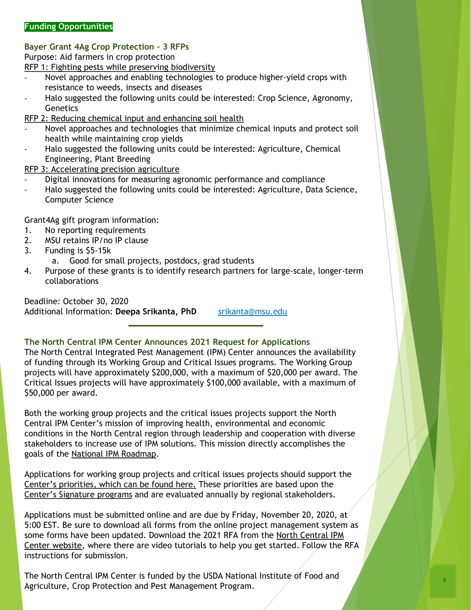# **Bayer Grant 4Ag Crop Protection – 3 RFPs**

Purpose: Aid farmers in crop protection

[RFP 1: Fighting pests while preserving biodiversity](https://www.halo.science/research/agriculture/fighting-pests-while-preserving-biodiversity?referrer_id=1310)

- Novel approaches and enabling technologies to produce higher-yield crops with resistance to weeds, insects and diseases
- Halo suggested the following units could be interested: Crop Science, Agronomy, **Genetics**

[RFP 2: Reducing chemical input and enhancing soil health](https://www.halo.science/research/agriculture/reducing-chemical-input-and-enhancing-soil-health?referrer_id=1310)

- Novel approaches and technologies that minimize chemical inputs and protect soil health while maintaining crop yields
- Halo suggested the following units could be interested: Agriculture, Chemical Engineering, Plant Breeding
- [RFP 3: Accelerating precision agriculture](https://www.halo.science/research/agriculture/accelerating-precision-agriculture?referrer_id=1310)
- Digital innovations for measuring agronomic performance and compliance
- Halo suggested the following units could be interested: Agriculture, Data Science, Computer Science

Grant4Ag gift program information:

- 1. No reporting requirements
- 2. MSU retains IP/no IP clause
- 3. Funding is \$5-15k
	- a. Good for small projects, postdocs, grad students
- 4. Purpose of these grants is to identify research partners for large-scale, longer-term collaborations

Deadline: October 30, 2020 Additional Information: Deepa Srikanta, PhD [srikanta@msu.edu](mailto:srikanta@msu.edu) **\_\_\_\_\_\_\_\_\_\_\_\_\_\_\_\_\_\_\_\_\_\_\_\_\_\_\_**

# **The North Central IPM Center Announces 2021 Request for Applications**

The North Central Integrated Pest Management (IPM) Center announces the availability of funding through its Working Group and Critical Issues programs. The Working Group projects will have approximately \$200,000, with a maximum of \$20,000 per award. The Critical Issues projects will have approximately \$100,000 available, with a maximum of \$50,000 per award.

Both the working group projects and the critical issues projects support the North Central IPM Center's mission of improving health, environmental and economic conditions in the North Central region through leadership and cooperation with diverse stakeholders to increase use of IPM solutions. This mission directly accomplishes the goals of the [National IPM Roadmap](https://urldefense.com/v3/__https:/bugwood.us3.list-manage.com/track/click?u=84900cd50d729c4f28f999684&id=0af9effdf6&e=74c231a8a0__;!!HXCxUKc!j4hdig69HW34zervrVE8RHOl1JmUUbfbsukzjc4yKvVL7_kK9HQuNWcQMdyx$).

Applications for working group projects and critical issues projects should support the [Center's priorities, which can be found here.](https://urldefense.com/v3/__https:/bugwood.us3.list-manage.com/track/click?u=84900cd50d729c4f28f999684&id=f3154f142d&e=74c231a8a0__;!!HXCxUKc!j4hdig69HW34zervrVE8RHOl1JmUUbfbsukzjc4yKvVL7_kK9HQuNQ1d7Imd$) These priorities are based upon the [Center's Signature programs](https://urldefense.com/v3/__https:/bugwood.us3.list-manage.com/track/click?u=84900cd50d729c4f28f999684&id=49473cac0e&e=74c231a8a0__;!!HXCxUKc!j4hdig69HW34zervrVE8RHOl1JmUUbfbsukzjc4yKvVL7_kK9HQuNXZLQVSR$) and are evaluated annually by regional stakeholders.

Applications must be submitted online and are due by Friday, November 20, 2020, at 5:00 EST. Be sure to download all forms from the online project management system as some forms have been updated. Download the 2021 RFA from the North Central IPM [Center website, where there are video tutorials to help you get started. Follow the](https://urldefense.com/v3/__https:/bugwood.us3.list-manage.com/track/click?u=84900cd50d729c4f28f999684&id=b0f140ef0e&e=74c231a8a0__;!!HXCxUKc!j4hdig69HW34zervrVE8RHOl1JmUUbfbsukzjc4yKvVL7_kK9HQuNSOxY6yt$) RFA instructions for submission.

The North Central IPM Center is funded by the USDA National Institute of Food and Agriculture, Crop Protection and Pest Management Program.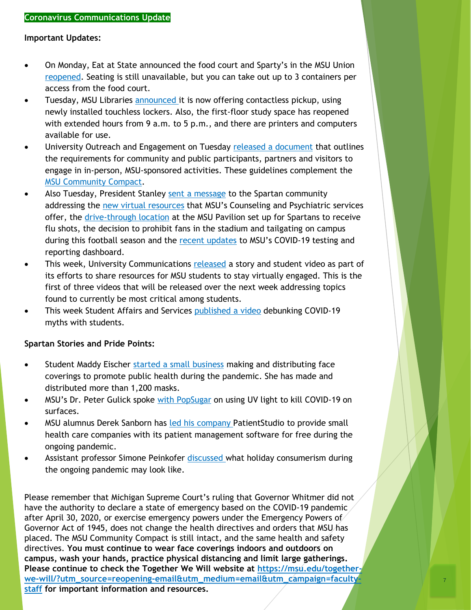# **Important Updates:**

- On Monday, Eat at State announced the food court and Sparty's in the MSU Union [reopened](https://urldefense.com/v3/__https:/twitter.com/EatatState/status/1310608626298621953?s=20__;!!HXCxUKc!noO-G7OYGPzyabfjZCL67ImlblI20PKdKxTM6ABnLwNG3ylUoAJ18_uiSmRc7gg$). Seating is still unavailable, but you can take out up to 3 containers per access from the food court.
- Tuesday, MSU Libraries [announced i](https://urldefense.com/v3/__https:/twitter.com/msulibraries/status/1310998650382843904?s=20__;!!HXCxUKc!noO-G7OYGPzyabfjZCL67ImlblI20PKdKxTM6ABnLwNG3ylUoAJ18_ui_Pj7A2k$)t is now offering contactless pickup, using newly installed touchless lockers. Also, the first-floor study space has reopened with extended hours from 9 a.m. to 5 p.m., and there are printers and computers available for use.
- University Outreach and Engagement on Tuesday [released a document](https://msu.edu/together-we-will/_assets/pdfs/Additional%20Guidance%20for%20Engaging%20with%20Partners%20and%20Public%20Events_FINAL%20PDF.pdf) that outlines the requirements for community and public participants, partners and visitors to engage in in-person, MSU-sponsored activities. These guidelines complement the [MSU Community Compact.](https://msu.edu/together-we-will/msu-community-compact/)
- Also Tuesday, President Stanley [sent a message](https://president.msu.edu/communications/messages-statements/2020_community_letters/2020-09-29-covid-resources-update.html?utm_campaign=standard-promo&utm_source=msunewstwitter-post&utm_medium=social) to the Spartan community addressing the [new virtual resources](http://click.cabs.msu.edu/t/gcH1AAibaCPLbQAJBy3Zw0EqaFEcYNFtaaaaFEcBPXG-Ebaa?l=9_xAx8~amp;V=nWtdwo9x~25Csuk2.Wlm~amp;t=a~amp;5=) that MSU's Counseling and Psychiatric services offer, the [drive-through location](http://click.cabs.msu.edu/t/gcH1AAibaCPLbQAJBy3Zw0EqaFEcYNFtaaaaFEcBPXG-Ebaa?l=9_xAx8~amp;V=nWtdwo9x~25Csuk2.Wlm~amp;t=c~amp;5=) at the MSU Pavilion set up for Spartans to receive flu shots, the decision to prohibit fans in the stadium and tailgating on campus during this football season and the [recent updates](http://click.cabs.msu.edu/t/gcH1AAibaCPLbQAJBy3Zw0EqaFEcYNFtaaaaFEcBPXG-Ebaa?l=9_xAx8~amp;V=nWtdwo9x~25Csuk2.Wlm~amp;t=e~amp;5=) to MSU's COVID-19 testing and reporting dashboard.
- This week, University Communications [released](https://msutoday.msu.edu/news/2020/Spartan-students-stay-socially-engaged?utm_campaign=standard-promo&utm_source=msutwitter-post&utm_medium=social) a story and student video as part of its efforts to share resources for MSU students to stay virtually engaged. This is the first of three videos that will be released over the next week addressing topics found to currently be most critical among students.
- This week Student Affairs and Services [published a video](https://urldefense.com/v3/__https:/www.youtube.com/watch?v=povQuXuy_7g&feature=youtu.be__;!!HXCxUKc!noO-G7OYGPzyabfjZCL67ImlblI20PKdKxTM6ABnLwNG3ylUoAJ18_uiVQRRagQ$) debunking COVID-19 myths with students.

# **Spartan Stories and Pride Points:**

- Student Maddy Eischer [started a small business](https://urldefense.com/v3/__https:/twitter.com/CALMSU/status/1310993444005961728?s=20__;!!HXCxUKc!noO-G7OYGPzyabfjZCL67ImlblI20PKdKxTM6ABnLwNG3ylUoAJ18_uiUrM0rJU$) making and distributing face coverings to promote public health during the pandemic. She has made and distributed more than 1,200 masks.
- MSU's Dr. Peter Gulick spoke [with PopSugar](https://urldefense.com/v3/__https:/www.popsugar.com/fitness/does-uv-light-kill-coronavirus-47803618?utm_campaign=standard-promo&utm_source=msunewstwitter-post&utm_medium=social__;!!HXCxUKc!noO-G7OYGPzyabfjZCL67ImlblI20PKdKxTM6ABnLwNG3ylUoAJ18_uiBMfU3Yc$) on using UV light to kill COVID-19 on surfaces.
- MSU alumnus Derek Sanborn has [led his company](https://broad.msu.edu/news/alumnus-aids-health-care-providers-with-free-patient-management-software/) PatientStudio to provide small health care companies with its patient management software for free during the ongoing pandemic.
- Assistant professor Simone Peinkofer [discussed w](https://msutoday.msu.edu/news/2020/Whats-in-store-for-retailers-during-a-pandemic)hat holiday consumerism during the ongoing pandemic may look like.

Please remember that Michigan Supreme Court's ruling that Governor Whitmer did not have the authority to declare a state of emergency based on the COVID-19 pandemic after April 30, 2020, or exercise emergency powers under the Emergency Powers of Governor Act of 1945, does not change the health directives and orders that MSU has placed. The MSU Community Compact is still intact, and the same health and safety directives. **You must continue to wear face coverings indoors and outdoors on campus, wash your hands, practice physical distancing and limit large gatherings.**  Please continue to check the Together We Will website at https://msu.edu/together**[we-will/?utm\\_source=reopening-email&utm\\_medium=email&utm\\_campaign=faculty](https://msu.edu/together-we-will/?utm_source=reopening-email&utm_medium=email&utm_campaign=faculty-staff)staff for important information and resources.**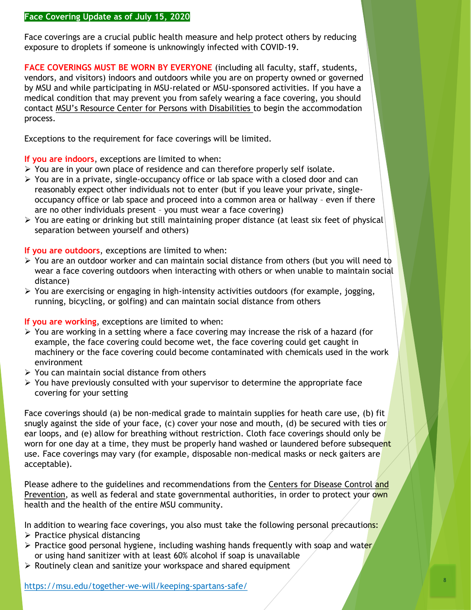## **Face Covering Update as of July 15, 2020**

Face coverings are a crucial public health measure and help protect others by reducing exposure to droplets if someone is unknowingly infected with COVID-19.

**FACE COVERINGS MUST BE WORN BY EVERYONE** (including all faculty, staff, students, vendors, and visitors) indoors and outdoors while you are on property owned or governed by MSU and while participating in MSU-related or MSU-sponsored activities. If you have a medical condition that may prevent you from safely wearing a face covering, you should contact MSU's Resource Center for Persons with Disabilities to begin the accommodation process.

Exceptions to the requirement for face coverings will be limited.

**If you are indoors**, exceptions are limited to when:

- ➢ You are in your own place of residence and can therefore properly self isolate.
- $\triangleright$  You are in a private, single-occupancy office or lab space with a closed door and can reasonably expect other individuals not to enter (but if you leave your private, singleoccupancy office or lab space and proceed into a common area or hallway – even if there are no other individuals present – you must wear a face covering)
- ➢ You are eating or drinking but still maintaining proper distance (at least six feet of physical separation between yourself and others)

**If you are outdoors**, exceptions are limited to when:

- $\triangleright$  You are an outdoor worker and can maintain social distance from others (but you will need to wear a face covering outdoors when interacting with others or when unable to maintain social distance)
- $\triangleright$  You are exercising or engaging in high-intensity activities outdoors (for example, jogging, running, bicycling, or golfing) and can maintain social distance from others

**If you are working**, exceptions are limited to when:

- $\triangleright$  You are working in a setting where a face covering may increase the risk of a hazard (for example, the face covering could become wet, the face covering could get caught in machinery or the face covering could become contaminated with chemicals used in the work environment
- $\triangleright$  You can maintain social distance from others
- $\triangleright$  You have previously consulted with your supervisor to determine the appropriate face covering for your setting

Face coverings should (a) be non-medical grade to maintain supplies for heath care use, (b) fit snugly against the side of your face, (c) cover your nose and mouth, (d) be secured with ties or ear loops, and (e) allow for breathing without restriction. Cloth face coverings should only be worn for one day at a time, they must be properly hand washed or laundered before subsequent use. Face coverings may vary (for example, disposable non-medical masks or neck gaiters are acceptable).

Please adhere to the guidelines and recommendations from the Centers for Disease Control and Prevention, as well as federal and state governmental authorities, in order to protect your own health and the health of the entire MSU community.

In addition to wearing face coverings, you also must take the following personal precautions:

- $\triangleright$  Practice physical distancing
- $\triangleright$  Practice good personal hygiene, including washing hands frequently with soap and water or using hand sanitizer with at least 60% alcohol if soap is unavailable
- ➢ Routinely clean and sanitize your workspace and shared equipment

<https://msu.edu/together-we-will/keeping-spartans-safe/>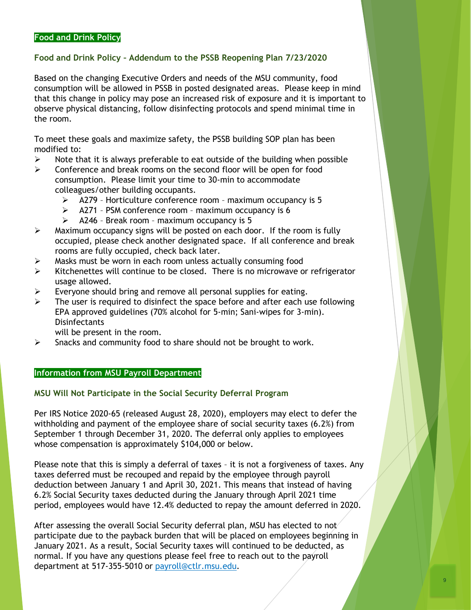#### **Food and Drink Policy**

# **Food and Drink Policy – Addendum to the PSSB Reopening Plan 7/23/2020**

Based on the changing Executive Orders and needs of the MSU community, food consumption will be allowed in PSSB in posted designated areas. Please keep in mind that this change in policy may pose an increased risk of exposure and it is important to observe physical distancing, follow disinfecting protocols and spend minimal time in the room.

To meet these goals and maximize safety, the PSSB building SOP plan has been modified to:

- $\triangleright$  Note that it is always preferable to eat outside of the building when possible
- ➢ Conference and break rooms on the second floor will be open for food consumption. Please limit your time to 30-min to accommodate colleagues/other building occupants.
	- ➢ A279 Horticulture conference room maximum occupancy is 5
	- $\triangleright$  A271 PSM conference room maximum occupancy is 6
	- $\geq$  A246 Break room maximum occupancy is 5
- $\triangleright$  Maximum occupancy signs will be posted on each door. If the room is fully occupied, please check another designated space. If all conference and break rooms are fully occupied, check back later.
- $\triangleright$  Masks must be worn in each room unless actually consuming food
- $\triangleright$  Kitchenettes will continue to be closed. There is no microwave or refrigerator usage allowed.
- $\triangleright$  Everyone should bring and remove all personal supplies for eating.
- $\triangleright$  The user is required to disinfect the space before and after each use following EPA approved guidelines (70% alcohol for 5-min; Sani-wipes for 3-min). **Disinfectants** 
	- will be present in the room.
- $\triangleright$  Snacks and community food to share should not be brought to work.

## **Information from MSU Payroll Department**

### **MSU Will Not Participate in the Social Security Deferral Program**

Per IRS Notice 2020-65 (released August 28, 2020), employers may elect to defer the withholding and payment of the employee share of social security taxes (6.2%) from September 1 through December 31, 2020. The deferral only applies to employees whose compensation is approximately \$104,000 or below.

Please note that this is simply a deferral of taxes – it is not a forgiveness of taxes. Any taxes deferred must be recouped and repaid by the employee through payroll deduction between January 1 and April 30, 2021. This means that instead of having 6.2% Social Security taxes deducted during the January through April 2021 time period, employees would have 12.4% deducted to repay the amount deferred in 2020.

After assessing the overall Social Security deferral plan, MSU has elected to not participate due to the payback burden that will be placed on employees beginning in January 2021. As a result, Social Security taxes will continued to be deducted, as normal. If you have any questions please feel free to reach out to the payroll department at 517-355-5010 or [payroll@ctlr.msu.edu.](mailto:payroll@ctlr.msu.edu)